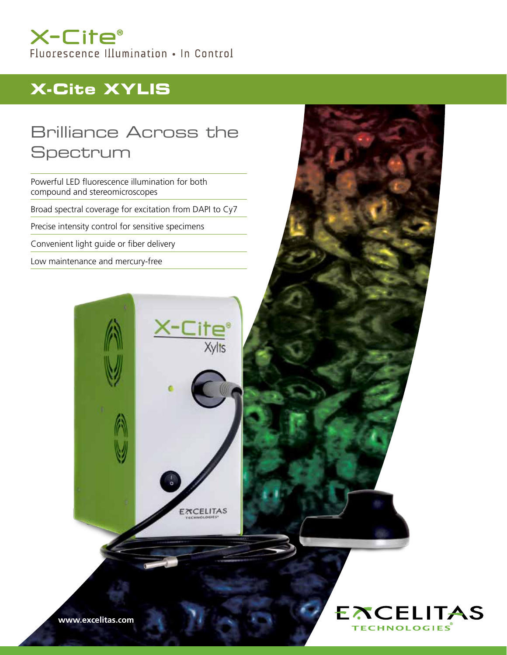## X-Cite® Fluorescence Illumination . In Control

# **X-Cite XYLIS**

## Brilliance Across the Spectrum

Powerful LED fluorescence illumination for both compound and stereomicroscopes Broad spectral coverage for excitation from DAPI to Cy7

Precise intensity control for sensitive specimens

Convenient light guide or fiber delivery

Low maintenance and mercury-free



EXCELITAS

**EXCELITAS** 

**TECHNOLOGIES**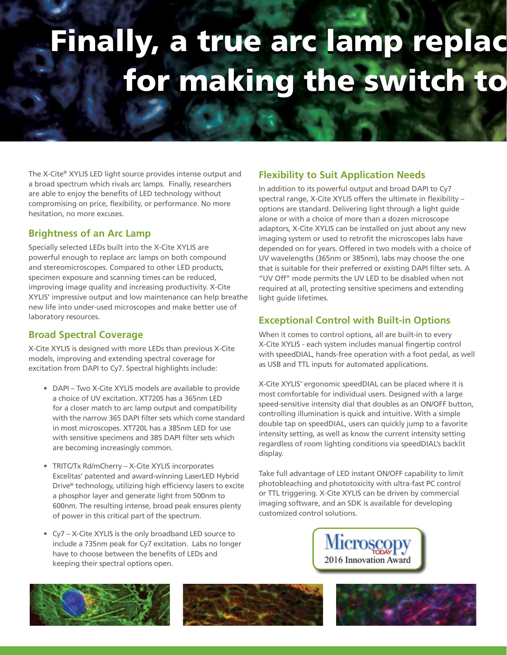# Finally, a true arc lamp replac for making the switch to

The X-Cite® XYLIS LED light source provides intense output and a broad spectrum which rivals arc lamps. Finally, researchers are able to enjoy the benefits of LED technology without compromising on price, flexibility, or performance. No more hesitation, no more excuses.

#### **Brightness of an Arc Lamp**

Specially selected LEDs built into the X-Cite XYLIS are powerful enough to replace arc lamps on both compound and stereomicroscopes. Compared to other LED products, specimen exposure and scanning times can be reduced, improving image quality and increasing productivity. X-Cite XYLIS' impressive output and low maintenance can help breathe new life into under-used microscopes and make better use of laboratory resources.

#### **Broad Spectral Coverage**

X-Cite XYLIS is designed with more LEDs than previous X-Cite models, improving and extending spectral coverage for excitation from DAPI to Cy7. Spectral highlights include:

- DAPI Two X-Cite XYLIS models are available to provide a choice of UV excitation. XT720S has a 365nm LED for a closer match to arc lamp output and compatibility with the narrow 365 DAPI filter sets which come standard in most microscopes. XT720L has a 385nm LED for use with sensitive specimens and 385 DAPI filter sets which are becoming increasingly common.
- TRITC/Tx Rd/mCherry X-Cite XYLIS incorporates Excelitas' patented and award-winning LaserLED Hybrid Drive® technology, utilizing high efficiency lasers to excite a phosphor layer and generate light from 500nm to 600nm. The resulting intense, broad peak ensures plenty of power in this critical part of the spectrum.
- Cy7 X-Cite XYLIS is the only broadband LED source to include a 735nm peak for Cy7 excitation. Labs no longer have to choose between the benefits of LEDs and keeping their spectral options open.

### **Flexibility to Suit Application Needs**

In addition to its powerful output and broad DAPI to Cy7 spectral range, X-Cite XYLIS offers the ultimate in flexibility – options are standard. Delivering light through a light guide alone or with a choice of more than a dozen microscope adaptors, X-Cite XYLIS can be installed on just about any new imaging system or used to retrofit the microscopes labs have depended on for years. Offered in two models with a choice of UV wavelengths (365nm or 385nm), labs may choose the one that is suitable for their preferred or existing DAPI filter sets. A "UV Off" mode permits the UV LED to be disabled when not required at all, protecting sensitive specimens and extending light guide lifetimes.

### **Exceptional Control with Built-in Options**

When it comes to control options, all are built-in to every X-Cite XYLIS - each system includes manual fingertip control with speedDIAL, hands-free operation with a foot pedal, as well as USB and TTL inputs for automated applications.

X-Cite XYLIS' ergonomic speedDIAL can be placed where it is most comfortable for individual users. Designed with a large speed-sensitive intensity dial that doubles as an ON/OFF button, controlling illumination is quick and intuitive. With a simple double tap on speedDIAL, users can quickly jump to a favorite intensity setting, as well as know the current intensity setting regardless of room lighting conditions via speedDIAL's backlit display.

Take full advantage of LED instant ON/OFF capability to limit photobleaching and phototoxicity with ultra-fast PC control or TTL triggering. X-Cite XYLIS can be driven by commercial imaging software, and an SDK is available for developing customized control solutions.







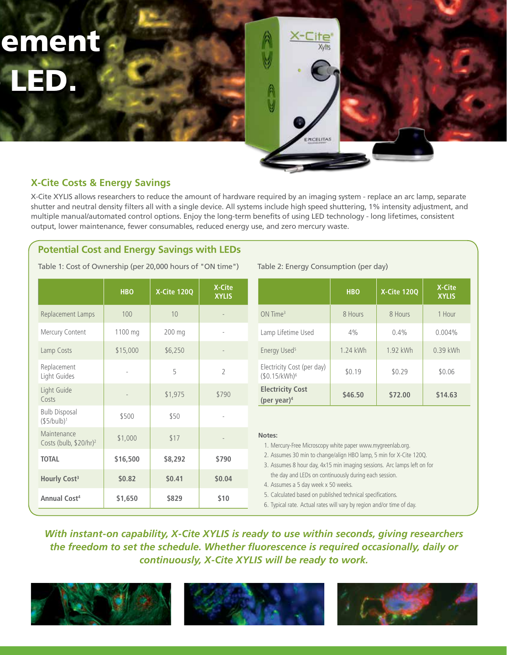ement LED. LED.



#### **X-Cite Costs & Energy Savings**

X-Cite XYLIS allows researchers to reduce the amount of hardware required by an imaging system - replace an arc lamp, separate shutter and neutral density filters all with a single device. All systems include high speed shuttering, 1% intensity adjustment, and multiple manual/automated control options. Enjoy the long-term benefits of using LED technology - long lifetimes, consistent output, lower maintenance, fewer consumables, reduced energy use, and zero mercury waste.

#### **Potential Cost and Energy Savings with LEDs**

Table 1: Cost of Ownership (per 20,000 hours of "ON time")

|                                                   | <b>HBO</b> | X-Cite 120Q | X-Cite<br><b>XYLIS</b> |             |
|---------------------------------------------------|------------|-------------|------------------------|-------------|
| Replacement Lamps                                 | 100        | 10          |                        |             |
| Mercury Content                                   | 1100 mg    | 200 mg      |                        |             |
| Lamp Costs                                        | \$15,000   | \$6,250     |                        |             |
| Replacement<br>Light Guides                       |            | 5           | $\overline{2}$         |             |
| Light Guide<br>Costs                              |            | \$1,975     | \$790                  |             |
| <b>Bulb Disposal</b><br>(\$5/bulb) <sup>1</sup>   | \$500      | \$50        |                        |             |
| Maintenance<br>Costs (bulb, \$20/hr) <sup>2</sup> | \$1,000    | \$17        |                        | $\mathbb N$ |
| <b>TOTAL</b>                                      | \$16,500   | \$8,292     | \$790                  |             |
| Hourly Cost <sup>3</sup>                          | \$0.82     | \$0.41      | \$0.04                 |             |
| <b>Annual Cost<sup>4</sup></b>                    | \$1,650    | \$829       | \$10                   |             |

#### Table 2: Energy Consumption (per day)

|                                                         | <b>HBO</b> | X-Cite 120Q | X-Cite<br><b>XYLIS</b> |
|---------------------------------------------------------|------------|-------------|------------------------|
| $ON$ Time <sup>3</sup>                                  | 8 Hours    | 8 Hours     | 1 Hour                 |
| Lamp Lifetime Used                                      | 4%         | 0.4%        | $0.004\%$              |
| Energy Used <sup>5</sup>                                | 1.24 kWh   | 1.92 kWh    | 0.39 kWh               |
| Electricity Cost (per day)<br>(\$0.15/kWh) <sup>6</sup> | \$0.19     |             | \$0.06                 |
| <b>Electricity Cost</b><br>(per year) $4$               | \$46.50    | \$72.00     | \$14.63                |

#### **Notes:**

1. Mercury-Free Microscopy white paper www.mygreenlab.org. 2. Assumes 30 min to change/align HBO lamp, 5 min for X-Cite 120Q.

3. Assumes 8 hour day, 4x15 min imaging sessions. Arc lamps left on for the day and LEDs on continuously during each session.

4. Assumes a 5 day week x 50 weeks.

5. Calculated based on published technical specifications.

6. Typical rate. Actual rates will vary by region and/or time of day.

## *With instant-on capability, X-Cite XYLIS is ready to use within seconds, giving researchers the freedom to set the schedule. Whether fluorescence is required occasionally, daily or continuously, X-Cite XYLIS will be ready to work.*